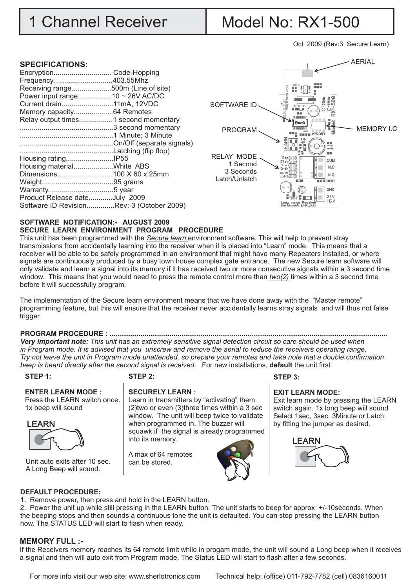# 1 Channel Receiver | Model No: RX1-500

Oct 2009 (Rev:3 Secure Learn)

### **SPECIFICATIONS:**

| Encryption Code-Hopping                   |  |
|-------------------------------------------|--|
| Frequency403.55Mhz                        |  |
| Receiving range500m (Line of site)        |  |
| Power input range10 ~ 26V AC/DC           |  |
| Current drain11mA, 12VDC                  |  |
| Memory capacity64 Remotes                 |  |
| Relay output times1 second momentary      |  |
|                                           |  |
|                                           |  |
|                                           |  |
|                                           |  |
|                                           |  |
| Housing materialWhite ABS                 |  |
|                                           |  |
|                                           |  |
|                                           |  |
| Product Release dateJuly 2009             |  |
| Software ID RevisionRev:-3 (October 2009) |  |



#### **SOFTWARE NOTIFICATION:- AUGUST 2009 SECURE LEARN ENVIRONMENT PROGRAM PROCEDURE**

This unit has been programmed with the *Secure learn* environment software. This will help to prevent stray transmissions from accidentally learning into the receiver when it is placed into "Learn" mode. This means that a receiver will be able to be safely programmed in an environment that might have many Repeaters installed, or where signals are continuously produced by a busy town house complex gate entrance. The new Secure learn software will only validate and learn a signal into its memory if it has received two or more consecutive signals within a 3 second time window. This means that you would need to press the remote control more than *two(2)* times within a 3 second time before it will successfully program.

The implementation of the Secure learn environment means that we have done away with the "Master remote" programming feature, but this will ensure that the receiver never accidentally learns stray signals and will thus not false trigger.

### **PROGRAM PROCEDURE : ...............................................................................................................................................**

*Very important note: This unit has an extremely sensitive signal detection circuit so care should be used when in Program mode. It is advised that you unscrew and remove the aerial to reduce the receivers operating range. Try not leave the unit in Program mode unattended, so prepare your remotes and take note that a double confirmation beep is heard directly after the second signal is received.* For new installations, **default** the unit first

#### **STEP 1:**

#### **STEP 2:**

# **ENTER LEARN MODE :** Press the LEARN switch once.

1x beep will sound



Unit auto exits after 10 sec.  $\left\| \right.$  can be stored. A Long Beep will sound.

#### **SECURELY LEARN :**  Learn in transmitters by "activating" them

(2)two or even (3)three times within a 3 sec window. The unit will beep twice to validate when programmed in. The buzzer will squawk if the signal is already programmed into its memory.

A max of 64 remotes



#### **EXIT LEARN MODE:**

Exit learn mode by pressing the LEARN switch again. 1x long beep will sound Select 1sec, 3sec, 3Minute or Latch by fitting the jumper as desired.



#### **DEFAULT PROCEDURE:**

1. Remove power, then press and hold in the LEARN button.

2. Power the unit up while still pressing in the LEARN button. The unit starts to beep for approx +/-10seconds. When the beeping stops and then sounds a continuous tone the unit is defaulted. You can stop pressing the LEARN button now. The STATUS LED will start to flash when ready.

# **MEMORY FULL :-**

If the Receivers memory reaches its 64 remote limit while in progam mode, the unit will sound a Long beep when it receives a signal and then will auto exit from Program mode. The Status LED will start to flash after a few seconds.